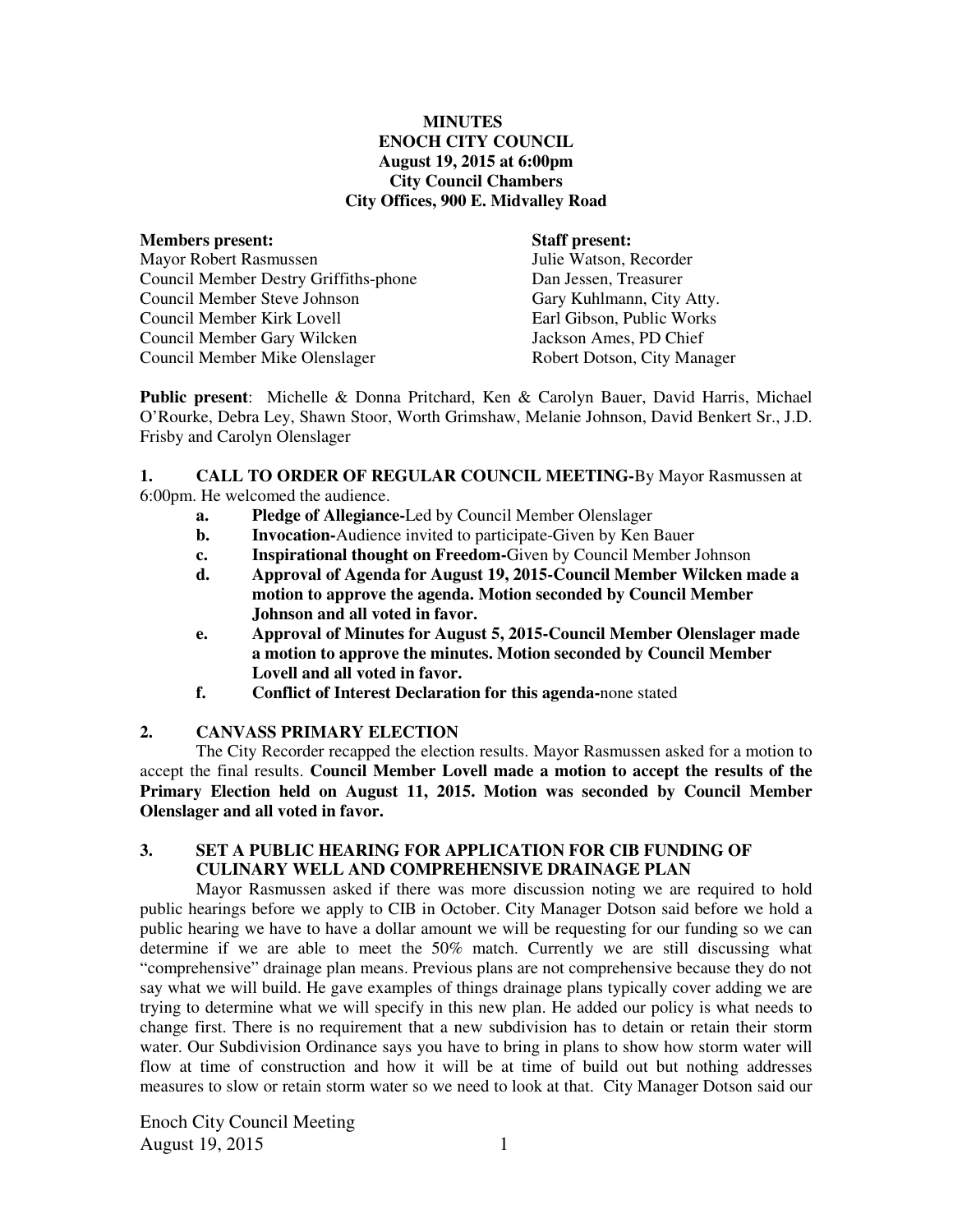#### **MINUTES ENOCH CITY COUNCIL August 19, 2015 at 6:00pm City Council Chambers City Offices, 900 E. Midvalley Road**

#### **Members present: Staff present:**

Mayor Robert Rasmussen Julie Watson, Recorder Council Member Destry Griffiths-phone Dan Jessen, Treasurer Council Member Steve Johnson Gary Kuhlmann, City Atty. Council Member Kirk Lovell Council Member Gary Wilcken Jackson Ames, PD Chief Council Member Mike Olenslager Robert Dotson, City Manager

**Public present**: Michelle & Donna Pritchard, Ken & Carolyn Bauer, David Harris, Michael O'Rourke, Debra Ley, Shawn Stoor, Worth Grimshaw, Melanie Johnson, David Benkert Sr., J.D. Frisby and Carolyn Olenslager

#### **1. CALL TO ORDER OF REGULAR COUNCIL MEETING-**By Mayor Rasmussen at 6:00pm. He welcomed the audience.

- **a. Pledge of Allegiance-**Led by Council Member Olenslager
- **b.** Invocation-Audience invited to participate-Given by Ken Bauer
- **c. Inspirational thought on Freedom-**Given by Council Member Johnson
- **d. Approval of Agenda for August 19, 2015-Council Member Wilcken made a motion to approve the agenda. Motion seconded by Council Member Johnson and all voted in favor.**
- **e. Approval of Minutes for August 5, 2015-Council Member Olenslager made a motion to approve the minutes. Motion seconded by Council Member Lovell and all voted in favor.**
- **f. Conflict of Interest Declaration for this agenda-**none stated

# **2. CANVASS PRIMARY ELECTION**

The City Recorder recapped the election results. Mayor Rasmussen asked for a motion to accept the final results. **Council Member Lovell made a motion to accept the results of the Primary Election held on August 11, 2015. Motion was seconded by Council Member Olenslager and all voted in favor.** 

#### **3. SET A PUBLIC HEARING FOR APPLICATION FOR CIB FUNDING OF CULINARY WELL AND COMPREHENSIVE DRAINAGE PLAN**

Mayor Rasmussen asked if there was more discussion noting we are required to hold public hearings before we apply to CIB in October. City Manager Dotson said before we hold a public hearing we have to have a dollar amount we will be requesting for our funding so we can determine if we are able to meet the 50% match. Currently we are still discussing what "comprehensive" drainage plan means. Previous plans are not comprehensive because they do not say what we will build. He gave examples of things drainage plans typically cover adding we are trying to determine what we will specify in this new plan. He added our policy is what needs to change first. There is no requirement that a new subdivision has to detain or retain their storm water. Our Subdivision Ordinance says you have to bring in plans to show how storm water will flow at time of construction and how it will be at time of build out but nothing addresses measures to slow or retain storm water so we need to look at that. City Manager Dotson said our

Enoch City Council Meeting August 19, 2015 1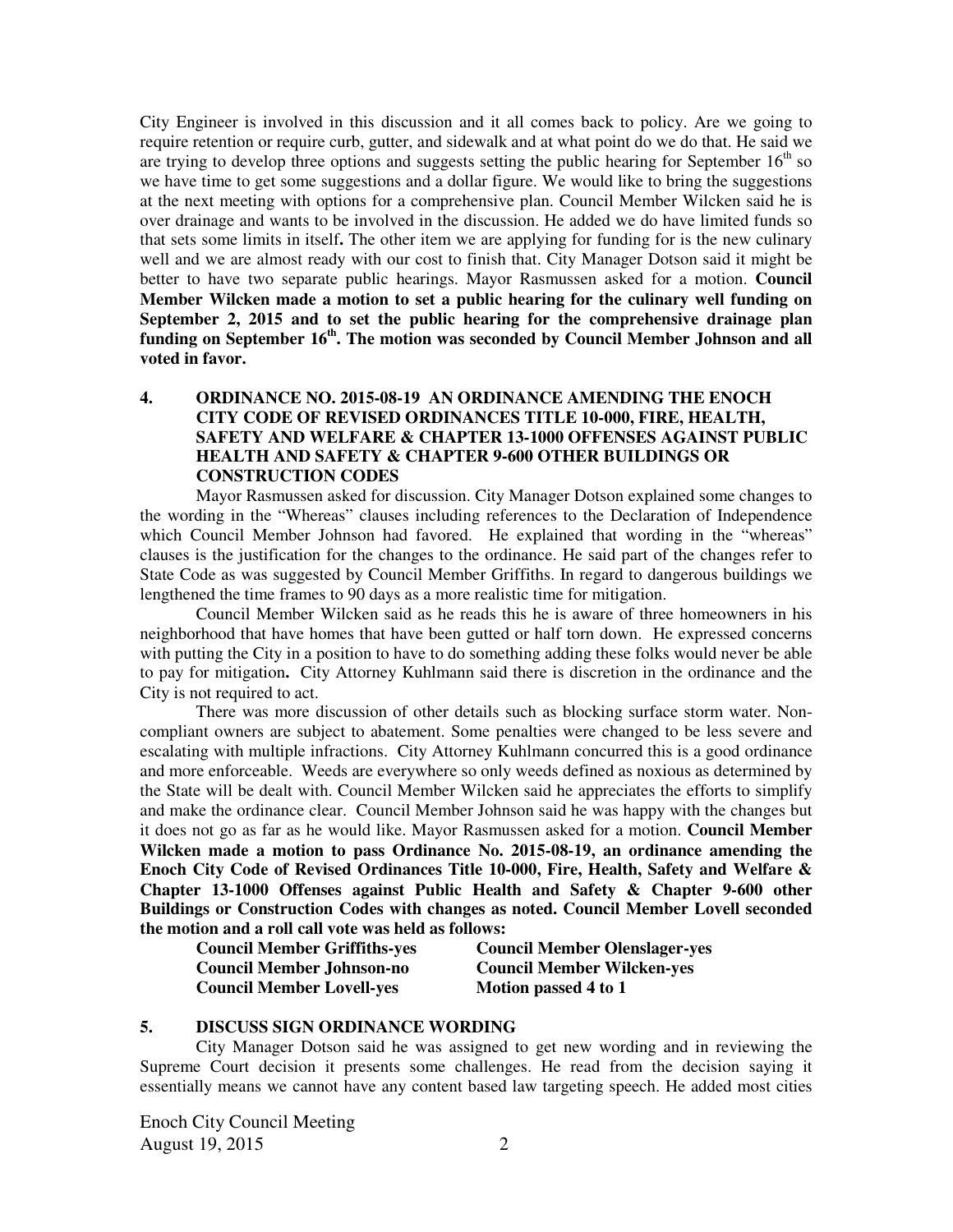City Engineer is involved in this discussion and it all comes back to policy. Are we going to require retention or require curb, gutter, and sidewalk and at what point do we do that. He said we are trying to develop three options and suggests setting the public hearing for September  $16<sup>th</sup>$  so we have time to get some suggestions and a dollar figure. We would like to bring the suggestions at the next meeting with options for a comprehensive plan. Council Member Wilcken said he is over drainage and wants to be involved in the discussion. He added we do have limited funds so that sets some limits in itself**.** The other item we are applying for funding for is the new culinary well and we are almost ready with our cost to finish that. City Manager Dotson said it might be better to have two separate public hearings. Mayor Rasmussen asked for a motion. **Council Member Wilcken made a motion to set a public hearing for the culinary well funding on September 2, 2015 and to set the public hearing for the comprehensive drainage plan funding on September 16th. The motion was seconded by Council Member Johnson and all voted in favor.** 

#### **4. ORDINANCE NO. 2015-08-19 AN ORDINANCE AMENDING THE ENOCH CITY CODE OF REVISED ORDINANCES TITLE 10-000, FIRE, HEALTH, SAFETY AND WELFARE & CHAPTER 13-1000 OFFENSES AGAINST PUBLIC HEALTH AND SAFETY & CHAPTER 9-600 OTHER BUILDINGS OR CONSTRUCTION CODES**

Mayor Rasmussen asked for discussion. City Manager Dotson explained some changes to the wording in the "Whereas" clauses including references to the Declaration of Independence which Council Member Johnson had favored. He explained that wording in the "whereas" clauses is the justification for the changes to the ordinance. He said part of the changes refer to State Code as was suggested by Council Member Griffiths. In regard to dangerous buildings we lengthened the time frames to 90 days as a more realistic time for mitigation.

Council Member Wilcken said as he reads this he is aware of three homeowners in his neighborhood that have homes that have been gutted or half torn down. He expressed concerns with putting the City in a position to have to do something adding these folks would never be able to pay for mitigation**.** City Attorney Kuhlmann said there is discretion in the ordinance and the City is not required to act.

There was more discussion of other details such as blocking surface storm water. Noncompliant owners are subject to abatement. Some penalties were changed to be less severe and escalating with multiple infractions. City Attorney Kuhlmann concurred this is a good ordinance and more enforceable. Weeds are everywhere so only weeds defined as noxious as determined by the State will be dealt with. Council Member Wilcken said he appreciates the efforts to simplify and make the ordinance clear. Council Member Johnson said he was happy with the changes but it does not go as far as he would like. Mayor Rasmussen asked for a motion. **Council Member Wilcken made a motion to pass Ordinance No. 2015-08-19, an ordinance amending the Enoch City Code of Revised Ordinances Title 10-000, Fire, Health, Safety and Welfare & Chapter 13-1000 Offenses against Public Health and Safety & Chapter 9-600 other Buildings or Construction Codes with changes as noted. Council Member Lovell seconded the motion and a roll call vote was held as follows:**

**Council Member Griffiths-yes Council Member Olenslager-yes Council Member Lovell-yes Motion passed 4 to 1** 

**Council Member Johnson-no Council Member Wilcken-yes** 

#### **5. DISCUSS SIGN ORDINANCE WORDING**

City Manager Dotson said he was assigned to get new wording and in reviewing the Supreme Court decision it presents some challenges. He read from the decision saying it essentially means we cannot have any content based law targeting speech. He added most cities

Enoch City Council Meeting August 19, 2015 2